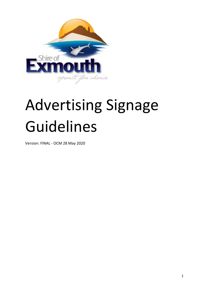

# Advertising Signage Guidelines

Version: FINAL - OCM 28 May 2020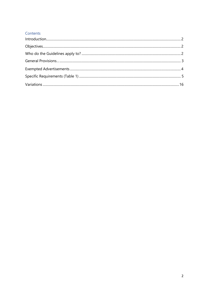### Contents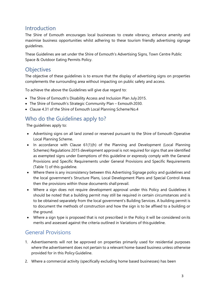## <span id="page-2-0"></span>Introduction

The Shire of Exmouth encourages local businesses to create vibrancy, enhance amenity and maximise business opportunities whilst adhering to these tourism friendly advertising signage guidelines.

These Guidelines are set under the Shire of Exmouth's Advertising Signs, Town Centre Public Space & Outdoor Eating Permits Policy.

## <span id="page-2-1"></span>**Objectives**

The objective of these guidelines is to ensure that the display of advertising signs on properties complements the surrounding area without impacting on public safety and access.

To achieve the above the Guidelines will give due regard to:

- The Shire of Exmouth's Disability Access and Inclusion Plan July 2015.
- The Shire of Exmouth's Strategic Community Plan Exmouth2030.
- Clause 4.31 of the Shire of Exmouth Local Planning Scheme No.4

## <span id="page-2-2"></span>Who do the Guidelines apply to?

The guidelines apply to:

- Advertising signs on all land zoned or reserved pursuant to the Shire of Exmouth Operative Local Planning Scheme.
- In accordance with Clause 61(1)(h) of the Planning and Development (Local Planning Schemes) Regulations 2015 development approval is not required for signs that are identified as exempted signs under Exemptions of this guideline or expressly comply with the General Provisions and Specific Requirements under General Provisions and Specific Requirements (Table 1) of this guideline.
- Where there is any inconsistency between this Advertising Signage policy and guidelines and the local government's Structure Plans, Local Development Plans and Special Control Areas then the provisions within those documents shall prevail.
- Where a sign does not require development approval under this Policy and Guidelines it should be noted that a building permit may still be required in certain circumstances and is to be obtained separately from the local government's Building Services. A building permit is to document the methods of construction and how the sign is to be affixed to a building or the ground.
- Where a sign type is proposed that is not prescribed in the Policy it will be considered onits merits and assessed against the criteria outlined in Variations of thisguideline.

## <span id="page-2-3"></span>General Provisions

- 1. Advertisements will not be approved on properties primarily used for residential purposes where the advertisement does not pertain to a relevant home-based business unless otherwise provided for in this Policy Guideline.
- 2. Where a commercial activity (specifically excluding home based businesses) has been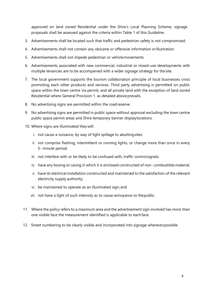approved on land zoned Residential under the Shire's Local Planning Scheme, signage proposals shall be assessed against the criteria within Table 1 of this Guideline.

- 3. Advertisements shall be located such that traffic and pedestrian safety is not compromised.
- 4. Advertisements shall not contain any obscene or offensive information orillustration.
- 5. Advertisements shall not impede pedestrian or vehiclemovements.
- 6. Advertisements associated with new commercial, industrial or mixed-use developments with multiple tenancies are to be accompanied with a wider signage strategy for thesite.
- 7. The local government supports the tourism collaboration principle of local businesses cross promoting each other products and services. Third party advertising is permitted on public space within the town centre via permit, and all private land with the exception of land zoned Residential where General Provision 1. as detailed above prevails.
- 8. No advertising signs are permitted within the roadreserve.
- 9. No advertising signs are permitted in public space without approval excluding the town centre public space permit areas and Shire temporary banner displaylocations.
- 10. Where signs are illuminated theywill:
	- i. not cause a nuisance, by way of light spillage to abuttingsites;
	- ii. not comprise flashing, intermittent or running lights, or change more than once in every 5- minute period;
	- iii. not interfere with or be likely to be confused with, traffic controlsignals;
	- iv. have any boxing or casing in which it is enclosed constructed of non- combustible material;
	- v. have its electrical installation constructed and maintained to the satisfaction of the relevant electricity supply authority;
	- vi. be maintained to operate as an illuminated sign; and
	- vii. not have a light of such intensity as to cause annoyance to thepublic.
- 11. Where the policy refers to a maximum area and the advertisement sign involved has more than one visible face the measurement identified is applicable to each face.
- 12. Street numbering to be clearly visible and incorporated into signage whereverpossible.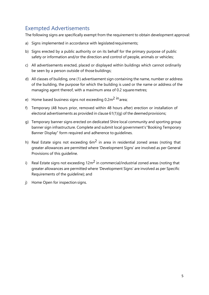## <span id="page-4-0"></span>Exempted Advertisements

The following signs are specifically exempt from the requirement to obtain development approval:

- a) Signs implemented in accordance with legislated requirements;
- b) Signs erected by a public authority or on its behalf for the primary purpose of public safety or information and/or the direction and control of people, animals or vehicles;
- c) All advertisements erected, placed or displayed within buildings which cannot ordinarily be seen by a person outside of those buildings;
- d) All classes of building, one (1) advertisement sign containing the name, number or address of the building, the purpose for which the building is used or the name or address of the managing agent thereof, with a maximum area of 0.2 squaremetres;
- e) Home based business signs not exceeding  $0.2 \text{m}^2$  in area;
- f) Temporary (48 hours prior, removed within 48 hours after) erection or installation of electoral advertisements as provided in clause  $61(1)(g)$  of the deemed provisions;
- g) Temporary banner signs erected on dedicated Shire local community and sporting group banner sign infrastructure. Complete and submit local government's"Booking Temporary Banner Display" form required and adherence to guidelines.
- h) Real Estate signs not exceeding  $6m^2$  in area in residential zoned areas (noting that greater allowances are permitted where 'Development Signs' are involved as per General Provisions of this guideline.
- i) Real Estate signs not exceeding  $12m^2$  in commercial/industrial zoned areas (noting that greater allowances are permitted where 'Development Signs' are involved as per Specific Requirements of the guideline); and
- j) Home Open for inspection signs.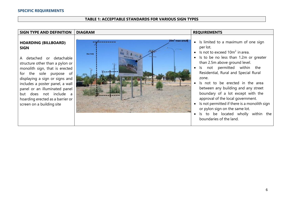#### **SPECIFIC REQUIREMENTS**

#### **TABLE 1: ACCEPTABLE STANDARDS FOR VARIOUS SIGN TYPES**

#### **SIGN TYPE AND DEFINITION** DIAGRAM **REQUIREMENTS** 20m<sup>-</sup>max-area¶ • Is limited to a maximum of one sign **HOARDING (BILLBOARD)**  per lot. **SIGN**  • Is not to exceed  $10m^2$  in area. Max:3mf • Is to be no less than 1.2m or greater A detached or detachable than 2.5m above ground level. structure other than a pylon or • Is not permitted within the monolith sign, that is erected Residential, Rural and Special Rural for the sole purpose of displaying a sign or signs and zone. • Is not to be erected in the area includes a poster panel, a wall between any building and any street panel or an illuminated panel boundary of a lot except with the but does not include a approval of the local government. hoarding erected as a barrier or • Is not permitted if there is a monolith sign screen on a building site or pylon sign on the same lot. • Is to be located wholly within the boundaries of the land.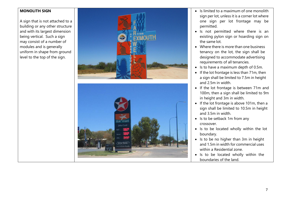#### **MONOLITH SIGN**

A sign that is not attached to a building or any other structure and with its largest dimension being vertical. Such a sign may consist of a number of modules and is generally uniform in shape from ground level to the top of the sign.



- Is limited to a maximum of one monolith sign per lot, unless it is a corner lot where one sign per lot frontage may be permitted .
- Is not permitted where there is an existing pylon sign or hoarding sign on the same lot.
- Where there is more than one business tenancy on the lot, the sign shall be designed to accommodate advertising requirements of all tenancies.
- Is to have a maximum depth of 0.5m.
- If the lot frontage is less than 71m, then a sign shall be limited to 7.5m in height and 2.5m in width.
- If the lot frontage is between 71m and 100m, then a sign shall be limited to 9m in height and 3m in width.
- If the lot frontage is above 101m, then a sign shall be limited to 10.5m in height and 3.5m in width.
- Is to be setback 1m from any crossover.
- Is to be located wholly within the lot boundary.
- Is to be no higher than 3m in height and 1.5m in width for commercial uses within a Residential zone.
- Is to be located wholly within the boundaries of the land.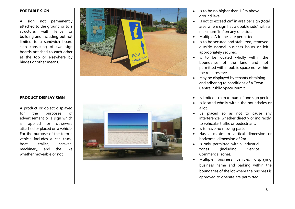#### **PORTABLE SIGN**

A sign not permanently attached to the ground or to a structure, wall, fence or building and including but not limited to a sandwich board sign consisting of two sign boards attached to each other at the top or elsewhere by hinges or other means.



- Is to be no higher than 1.2m above ground level.
- Is not to exceed  $2m^2$  in area per sign (total area where sign has a double side) with a maximum  $1m^2$  on any one side.
- Multiple A frames are permitted.
- Is to be secured and stabilized, removed outside normal business hours or left appropriately secured.
- Is to be located wholly within the boundaries of the land and not permitted within public space nor within the road reserve.
- May be displayed by tenants obtaining and adhering to conditions of a Town Centre Public Space Permit.
- Is limited to a maximum of one sign per lot.
- Is located wholly within the boundaries or a lot.
- Be placed so as not to cause any interference, whether directly or indirectly, to vehicular traffic or pedestrians.
- Is to have no moving parts.
- Has a maximum vertical dimension or horizontal dimension of 2m.
- Is only permitted within Industrial zones (including Service Commercial zone).
- Multiple business vehicles displaying business name and parking within the boundaries of the lot where the business is approved to operate are permitted.

#### **PRODUCT DISPLAY SIGN**

A product or object displayed for the purposes of advertisement or a sign which is applied or otherwise attached or placed on a vehicle. For the purpose of the term a vehicle includes a car, truck, boat, trailer, caravan, machinery, and the like whether moveable or not.

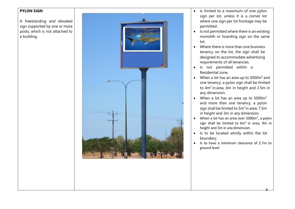#### **PYLON SIGN**

A freestanding and elevated sign supported by one or more posts, which is not attached to a building.



- Is limited to a maximum of one pylon sign per lot, unless it is a corner lot where one sign per lot frontage may be permitted.
- Is not permitted where there is an existing monolith or hoarding sign on the same lot.
- Where there is more than one business tenancy on the lot, the sign shall be designed to accommodate advertising requirements of all tenancies.
- Is not permitted within a Residential zone.
- When a lot has an area up to  $5000 \text{m}^2$  and one tenancy, a pylon sign shall be limited to  $4m^2$  in area, 6m in height and 2.5m in any dimension.
- When a lot has an area up to  $5000m^2$ and more than one tenancy, a pylon sign shall be limited to  $5m^2$  in area, 7.5m in height and 3m in any dimension.
- When a lot has an area over  $5000m^2$ , a pylon sign shall be limited to  $6m^2$  in area, 9m in height and 3m in any dimension.
- Is to be located wholly within the lot boundary.
- Is to have a minimum clearance of 2.7m to ground level

9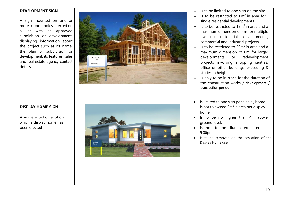#### **DEVELOPMENT SIGN**

A sign mounted on one or more support poles, erected on a lot with an approved subdivision or development, displaying information about the project such as its name, the plan of subdivision or development, its features, sales and real estate agency contact details.



- Is to be limited to one sign on the site.
- Is to be restricted to  $6m^2$  in area for single residential developments.
- Is to be restricted to  $12m^2$  in area and a maximum dimension of 4m for multiple dwelling residential developments, commercial and industrial projects.
- Is to be restricted to  $20m^2$  in area and a maximum dimension of 6m for larger developments or redevelopment projects involving shopping centres, office or other buildings exceeding 3 stories in height.
- Is only to be in place for the duration of the construction works / development / transaction period.
- Is limited to one sign per display home Is not to exceed  $2m^2$  in area per display home.
- Is to be no higher than 4m above ground level.
- Is not to be illuminated after 9:00pm.
- Is to be removed on the cessation of the Display Home use.

#### **DISPLAY HOME SIGN**

A sign erected on a lot on which a display home has been erected

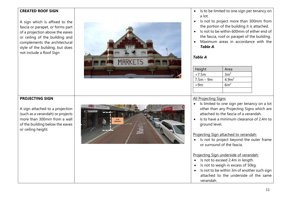#### **CREATED ROOF SIGN**

A sign which is affixed to the fascia or parapet, or forms part of a projection above the eaves or ceiling of the building and complements the architectural style of the building, but does not include a Roof Sign



- Is to be limited to one sign per tenancy on a lot.
- Is not to project more than 300mm from the portion of the building it is attached.
- Is not to be within 600mm of either end of the fascia, roof or parapet of the building.
- Maximum areas in accordance with the *Table A*.

#### *Table A*

| Height      | Area              |
|-------------|-------------------|
| < 7.5m      | 3m <sup>2</sup>   |
| $7.5m - 9m$ | 4.9m <sup>2</sup> |
| >9m         | 6m <sup>2</sup>   |
|             |                   |

#### All Projecting Signs

- Is limited to one sign per tenancy on a lot other than any Projecting Signs which are attached to the fascia of a verandah.
- Is to have a minimum clearance of 2.4m to ground level.

Projecting Sign attached to verandah:

• Is not to project beyond the outer frame or surround of the fascia.

#### Projecting Sign underside of verandah:

- Is not to exceed 2.4m in length.
- Is not to weigh in excess of 50kg.
- Is not to be within 3m of another such sign attached to the underside of the same verandah.

### **PROJECTING SIGN**

A sign attached to a projection (such as a verandah) or projects more than 300mm from a wall of the building below the eaves or ceiling height.

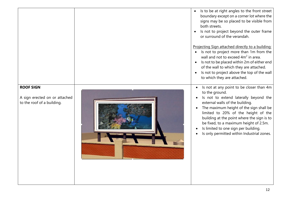|                                                                                 | Is to be at right angles to the front street<br>boundary except on a corner lot where the<br>signs may be so placed to be visible from<br>both streets.<br>Is not to project beyond the outer frame<br>or surround of the verandah.<br>Projecting Sign attached directly to a building:<br>Is not to project more than 1m from the<br>wall and not to exceed 4m <sup>2</sup> in area.<br>Is not to be placed within 2m of either end<br>of the wall to which they are attached.<br>Is not to project above the top of the wall<br>to which they are attached. |
|---------------------------------------------------------------------------------|---------------------------------------------------------------------------------------------------------------------------------------------------------------------------------------------------------------------------------------------------------------------------------------------------------------------------------------------------------------------------------------------------------------------------------------------------------------------------------------------------------------------------------------------------------------|
| <b>ROOF SIGN</b><br>A sign erected on or attached<br>to the roof of a building. | Is not at any point to be closer than 4m<br>to the ground.<br>Is not to extend laterally beyond the<br>external walls of the building.<br>The maximum height of the sign shall be<br>$\bullet$<br>limited to 20% of the height of the<br>building at the point where the sign is to<br>be fixed, to a maximum height of 2.5m.<br>Is limited to one sign per building.<br>Is only permitted within Industrial zones.                                                                                                                                           |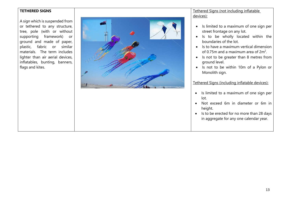#### **TETHERED SIGNS**

A sign which is suspended from or tethered to any structure, tree, pole (with or without supporting framework) or ground and made of paper, plastic, fabric or similar materials. The term includes lighter than air aerial devices, inflatables, bunting, banners, flags and kites.



#### Tethered Signs (not including inflatable devices):

- Is limited to a maximum of one sign per street frontage on any lot.
- Is to be wholly located within the boundaries of the lot.
- Is to have a maximum vertical dimension of 0.75m and a maximum area of  $2m^2$ .
- Is not to be greater than 8 metres from ground level.
- Is not to be within 10m of a Pylon or Monolith sign.

#### Tethered Signs (including inflatable devices):

- Is limited to a maximum of one sign per lot.
- Not exceed 6m in diameter or 6m in height.
- Is to be erected for no more than 28 days in aggregate for any one calendar year.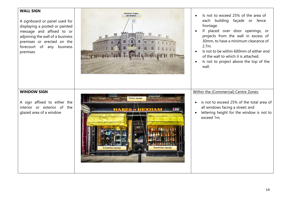| <b>WALL SIGN</b><br>A signboard or panel used for<br>displaying a posted or painted<br>message and affixed to or<br>adjoining the wall of a business<br>premises or erected on the<br>forecourt of any business<br>premises. | Maximum 2 signs<br>per tenancy<br>h<br>Πi<br>冊<br>H,<br>iii<br>Ш<br>iii | Is not to exceed 25% of the area of<br>each building façade or fence<br>frontage.<br>If placed over door openings, or<br>projects from the wall in excess of<br>30mm, to have a minimum clearance of<br>2.7m.<br>Is not to be within 600mm of either end<br>of the wall to which it is attached.<br>Is not to project above the top of the<br>wall. |
|------------------------------------------------------------------------------------------------------------------------------------------------------------------------------------------------------------------------------|-------------------------------------------------------------------------|-----------------------------------------------------------------------------------------------------------------------------------------------------------------------------------------------------------------------------------------------------------------------------------------------------------------------------------------------------|
| <b>WINDOW SIGN</b><br>A sign affixed to either the<br>interior or exterior of the<br>glazed area of a window                                                                                                                 | <b>Window signage</b><br><b>HIEXAHA</b><br>Sweetshop signage            | Within the (Commercial) Centre Zones:<br>is not to exceed 25% of the total area of<br>all windows facing a street; and<br>lettering height for the window is not to<br>exceed 1m.                                                                                                                                                                   |